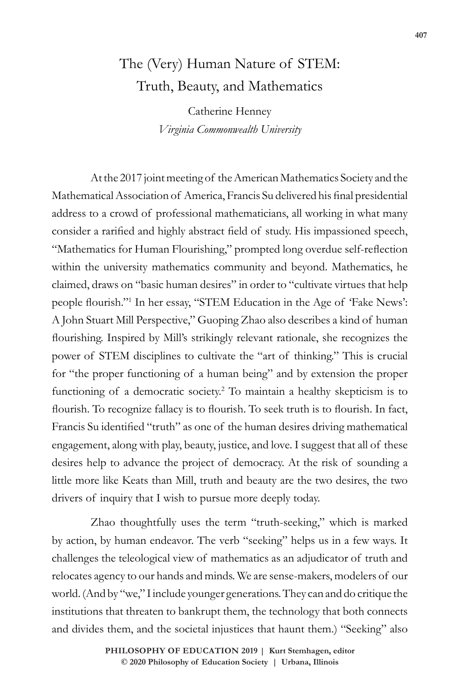## The (Very) Human Nature of STEM: Truth, Beauty, and Mathematics

Catherine Henney *Virginia Commonwealth University*

At the 2017 joint meeting of the American Mathematics Society and the Mathematical Association of America, Francis Su delivered his final presidential address to a crowd of professional mathematicians, all working in what many consider a rarified and highly abstract field of study. His impassioned speech, "Mathematics for Human Flourishing," prompted long overdue self-reflection within the university mathematics community and beyond. Mathematics, he claimed, draws on "basic human desires" in order to "cultivate virtues that help people flourish."<sup>1</sup> In her essay, "STEM Education in the Age of 'Fake News': A John Stuart Mill Perspective," Guoping Zhao also describes a kind of human flourishing. Inspired by Mill's strikingly relevant rationale, she recognizes the power of STEM disciplines to cultivate the "art of thinking." This is crucial for "the proper functioning of a human being" and by extension the proper functioning of a democratic society.<sup>2</sup> To maintain a healthy skepticism is to flourish. To recognize fallacy is to flourish. To seek truth is to flourish. In fact, Francis Su identified "truth" as one of the human desires driving mathematical engagement, along with play, beauty, justice, and love. I suggest that all of these desires help to advance the project of democracy. At the risk of sounding a little more like Keats than Mill, truth and beauty are the two desires, the two drivers of inquiry that I wish to pursue more deeply today.

Zhao thoughtfully uses the term "truth-seeking," which is marked by action, by human endeavor. The verb "seeking" helps us in a few ways. It challenges the teleological view of mathematics as an adjudicator of truth and relocates agency to our hands and minds. We are sense-makers, modelers of our world. (And by "we," I include younger generations. They can and do critique the institutions that threaten to bankrupt them, the technology that both connects and divides them, and the societal injustices that haunt them.) "Seeking" also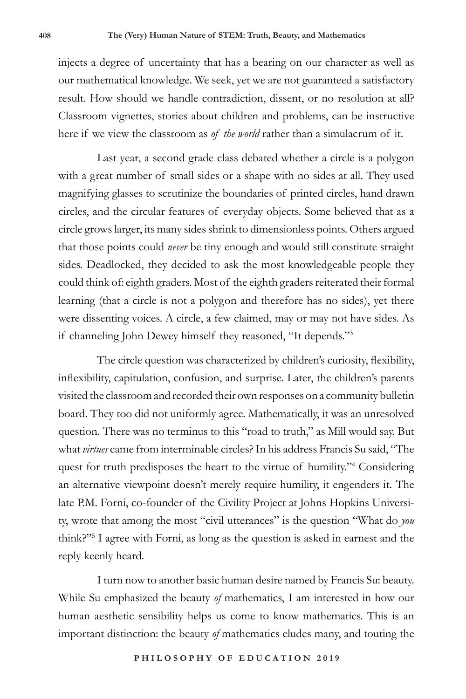injects a degree of uncertainty that has a bearing on our character as well as our mathematical knowledge. We seek, yet we are not guaranteed a satisfactory result. How should we handle contradiction, dissent, or no resolution at all? Classroom vignettes, stories about children and problems, can be instructive here if we view the classroom as *of the world* rather than a simulacrum of it.

Last year, a second grade class debated whether a circle is a polygon with a great number of small sides or a shape with no sides at all. They used magnifying glasses to scrutinize the boundaries of printed circles, hand drawn circles, and the circular features of everyday objects. Some believed that as a circle grows larger, its many sides shrink to dimensionless points. Others argued that those points could *never* be tiny enough and would still constitute straight sides. Deadlocked, they decided to ask the most knowledgeable people they could think of: eighth graders. Most of the eighth graders reiterated their formal learning (that a circle is not a polygon and therefore has no sides), yet there were dissenting voices. A circle, a few claimed, may or may not have sides. As if channeling John Dewey himself they reasoned, "It depends."<sup>3</sup>

The circle question was characterized by children's curiosity, flexibility, inflexibility, capitulation, confusion, and surprise. Later, the children's parents visited the classroom and recorded their own responses on a community bulletin board. They too did not uniformly agree. Mathematically, it was an unresolved question. There was no terminus to this "road to truth," as Mill would say. But what *virtues* came from interminable circles? In his address Francis Su said, "The quest for truth predisposes the heart to the virtue of humility."<sup>4</sup> Considering an alternative viewpoint doesn't merely require humility, it engenders it. The late P.M. Forni, co-founder of the Civility Project at Johns Hopkins University, wrote that among the most "civil utterances" is the question "What do *you* think?"<sup>5</sup> I agree with Forni, as long as the question is asked in earnest and the reply keenly heard.

I turn now to another basic human desire named by Francis Su: beauty. While Su emphasized the beauty *of* mathematics, I am interested in how our human aesthetic sensibility helps us come to know mathematics. This is an important distinction: the beauty *of* mathematics eludes many, and touting the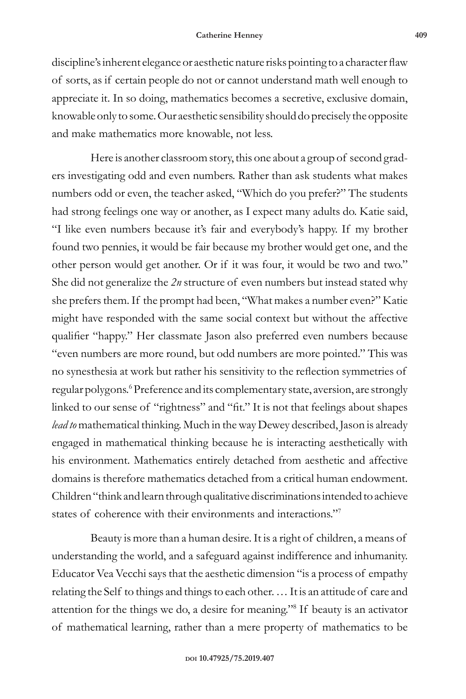discipline's inherent elegance or aesthetic nature risks pointing to a character flaw of sorts, as if certain people do not or cannot understand math well enough to appreciate it. In so doing, mathematics becomes a secretive, exclusive domain, knowable only to some. Our aesthetic sensibility should do precisely the opposite and make mathematics more knowable, not less.

Here is another classroom story, this one about a group of second graders investigating odd and even numbers. Rather than ask students what makes numbers odd or even, the teacher asked, "Which do you prefer?" The students had strong feelings one way or another, as I expect many adults do. Katie said, "I like even numbers because it's fair and everybody's happy. If my brother found two pennies, it would be fair because my brother would get one, and the other person would get another. Or if it was four, it would be two and two." She did not generalize the *2n* structure of even numbers but instead stated why she prefers them. If the prompt had been, "What makes a number even?" Katie might have responded with the same social context but without the affective qualifier "happy." Her classmate Jason also preferred even numbers because "even numbers are more round, but odd numbers are more pointed." This was no synesthesia at work but rather his sensitivity to the reflection symmetries of regular polygons.<sup>6</sup> Preference and its complementary state, aversion, are strongly linked to our sense of "rightness" and "fit." It is not that feelings about shapes *lead to* mathematical thinking. Much in the way Dewey described, Jason is already engaged in mathematical thinking because he is interacting aesthetically with his environment. Mathematics entirely detached from aesthetic and affective domains is therefore mathematics detached from a critical human endowment. Children "think and learn through qualitative discriminations intended to achieve states of coherence with their environments and interactions."<sup>7</sup>

Beauty is more than a human desire. It is a right of children, a means of understanding the world, and a safeguard against indifference and inhumanity. Educator Vea Vecchi says that the aesthetic dimension "is a process of empathy relating the Self to things and things to each other. … It is an attitude of care and attention for the things we do, a desire for meaning."<sup>8</sup> If beauty is an activator of mathematical learning, rather than a mere property of mathematics to be